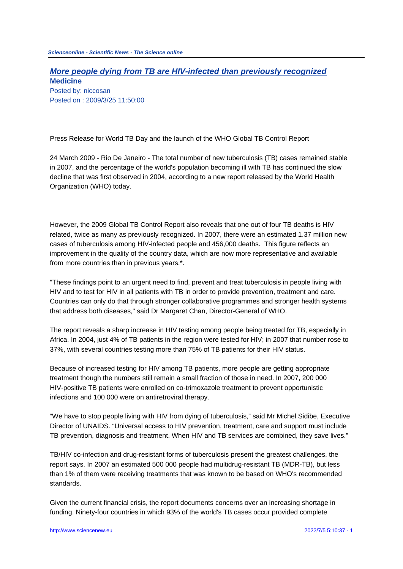## **More people dying from TB are HIV-infected than previously recognized Medicine**

Posted by: niccosan Posted on : 2009/3/25 11:50:00

Press Release for World TB Day and the launch of the WHO Global TB Control Report

24 March 2009 - Rio De Janeiro - The total number of new tuberculosis (TB) cases remained stable in 2007, and the percentage of the world's population becoming ill with TB has continued the slow decline that was first observed in 2004, according to a new report released by the World Health Organization (WHO) today.

However, the 2009 Global TB Control Report also reveals that one out of four TB deaths is HIV related, twice as many as previously recognized. In 2007, there were an estimated 1.37 million new cases of tuberculosis among HIV-infected people and 456,000 deaths. This figure reflects an improvement in the quality of the country data, which are now more representative and available from more countries than in previous years.\*.

"These findings point to an urgent need to find, prevent and treat tuberculosis in people living with HIV and to test for HIV in all patients with TB in order to provide prevention, treatment and care. Countries can only do that through stronger collaborative programmes and stronger health systems that address both diseases," said Dr Margaret Chan, Director-General of WHO.

The report reveals a sharp increase in HIV testing among people being treated for TB, especially in Africa. In 2004, just 4% of TB patients in the region were tested for HIV; in 2007 that number rose to 37%, with several countries testing more than 75% of TB patients for their HIV status.

Because of increased testing for HIV among TB patients, more people are getting appropriate treatment though the numbers still remain a small fraction of those in need. In 2007, 200 000 HIV-positive TB patients were enrolled on co-trimoxazole treatment to prevent opportunistic infections and 100 000 were on antiretroviral therapy.

"We have to stop people living with HIV from dying of tuberculosis," said Mr Michel Sidibe, Executive Director of UNAIDS. "Universal access to HIV prevention, treatment, care and support must include TB prevention, diagnosis and treatment. When HIV and TB services are combined, they save lives."

TB/HIV co-infection and drug-resistant forms of tuberculosis present the greatest challenges, the report says. In 2007 an estimated 500 000 people had multidrug-resistant TB (MDR-TB), but less than 1% of them were receiving treatments that was known to be based on WHO's recommended standards.

Given the current financial crisis, the report documents concerns over an increasing shortage in funding. Ninety-four countries in which 93% of the world's TB cases occur provided complete